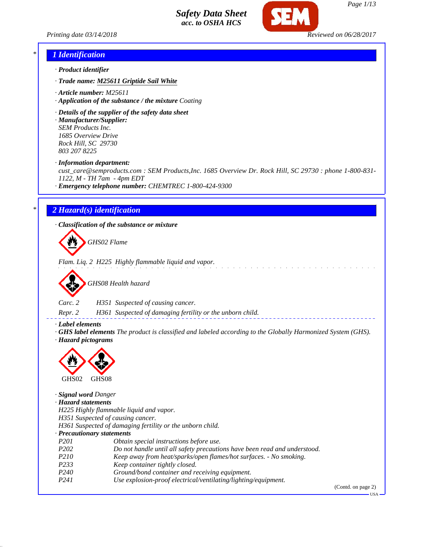



### *\* 1 Identification*

- *· Product identifier*
- *· Trade name: M25611 Griptide Sail White*
- *· Article number: M25611*
- *· Application of the substance / the mixture Coating*
- *· Details of the supplier of the safety data sheet*
- *· Manufacturer/Supplier: SEM Products Inc. 1685 Overview Drive Rock Hill, SC 29730 803 207 8225*
- *· Information department:*

*cust\_care@semproducts.com : SEM Products,Inc. 1685 Overview Dr. Rock Hill, SC 29730 : phone 1-800-831- 1122, M - TH 7am - 4pm EDT*

*· Emergency telephone number: CHEMTREC 1-800-424-9300*

### *\* 2 Hazard(s) identification*

*· Classification of the substance or mixture*

*GHS02 Flame*

*Flam. Liq. 2 H225 Highly flammable liquid and vapor.*



*Carc. 2 H351 Suspected of causing cancer.*

*Repr. 2 H361 Suspected of damaging fertility or the unborn child.*

*· Label elements*

*· GHS label elements The product is classified and labeled according to the Globally Harmonized System (GHS). · Hazard pictograms*



*· Signal word Danger · Hazard statements H225 Highly flammable liquid and vapor. H351 Suspected of causing cancer. H361 Suspected of damaging fertility or the unborn child. · Precautionary statements P201 Obtain special instructions before use. P202 Do not handle until all safety precautions have been read and understood. P210 Keep away from heat/sparks/open flames/hot surfaces. - No smoking. P233 Keep container tightly closed. P240 Ground/bond container and receiving equipment. P241 Use explosion-proof electrical/ventilating/lighting/equipment.* (Contd. on page 2)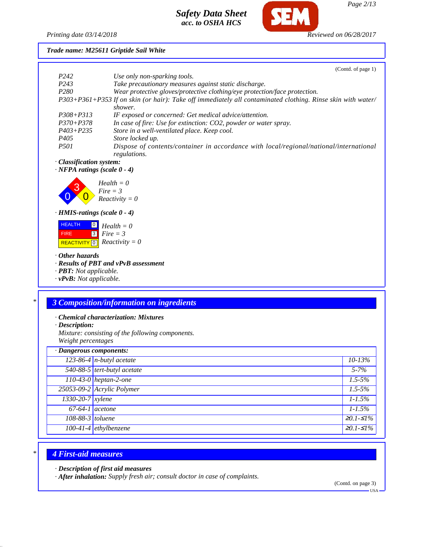

## *Printing date 03/14/2018 Reviewed on 06/28/2017*

*Trade name: M25611 Griptide Sail White*

|                                                                                        | (Contd. of page 1)                                                                                          |
|----------------------------------------------------------------------------------------|-------------------------------------------------------------------------------------------------------------|
| P <sub>242</sub>                                                                       | Use only non-sparking tools.                                                                                |
| P <sub>243</sub>                                                                       | Take precautionary measures against static discharge.                                                       |
| P <sub>280</sub>                                                                       | Wear protective gloves/protective clothing/eye protection/face protection.                                  |
|                                                                                        | P303+P361+P353 If on skin (or hair): Take off immediately all contaminated clothing. Rinse skin with water/ |
|                                                                                        | shower.                                                                                                     |
| $P308 + P313$                                                                          | IF exposed or concerned: Get medical advice/attention.                                                      |
| $P370 + P378$                                                                          | In case of fire: Use for extinction: CO2, powder or water spray.                                            |
| $P403 + P235$                                                                          | Store in a well-ventilated place. Keep cool.                                                                |
| P <sub>405</sub>                                                                       | Store locked up.                                                                                            |
| <i>P501</i>                                                                            | Dispose of contents/container in accordance with local/regional/national/international<br>regulations.      |
| · Classification system:                                                               |                                                                                                             |
| $\cdot$ NFPA ratings (scale $0 - 4$ )                                                  |                                                                                                             |
|                                                                                        | $Health = 0$<br>$Fire = 3$<br>$Reactivity = 0$                                                              |
| $\cdot$ HMIS-ratings (scale $0 - 4$ )                                                  |                                                                                                             |
| <b>HEALTH</b><br>$\boxed{0}$<br><b>FIRE</b><br> 3 <br>$\boxed{0}$<br><b>REACTIVITY</b> | $Health = 0$<br>$Fire = 3$<br>$Reactivity = 0$                                                              |
| $\cdot$ Other hazards                                                                  | · Results of PBT and vPvB assessment                                                                        |
| $\cdot$ <b>PBT</b> : Not applicable.                                                   |                                                                                                             |
| $\cdot$ vPvB: Not applicable.                                                          |                                                                                                             |
|                                                                                        |                                                                                                             |
|                                                                                        |                                                                                                             |
|                                                                                        | <u>2 Composition/information on ingredients</u>                                                             |

## *\* 3 Composition/information on ingredients*

- *· Chemical characterization: Mixtures*
- *· Description:*

*Mixture: consisting of the following components. Weight percentages*

| · Dangerous components: |                             |                   |
|-------------------------|-----------------------------|-------------------|
|                         | $123-86-4$ n-butyl acetate  | $10 - 13\%$       |
|                         | 540-88-5 tert-butyl acetate | $5 - 7\%$         |
|                         | $110-43-0$ heptan-2-one     | $1.5 - 5\%$       |
|                         | 25053-09-2 Acrylic Polymer  | $1.5 - 5\%$       |
| $1330 - 20 - 7$ xylene  |                             | $1 - 1.5\%$       |
| $67-64-1$ acetone       |                             | $1 - 1.5\%$       |
| 108-88-3 toluene        |                             | $\geq 0.1 - 51\%$ |
|                         | $100-41-4$ ethylbenzene     | $\geq 0.1 - 51\%$ |

# *\* 4 First-aid measures*

*· Description of first aid measures*

*· After inhalation: Supply fresh air; consult doctor in case of complaints.*

(Contd. on page 3)

USA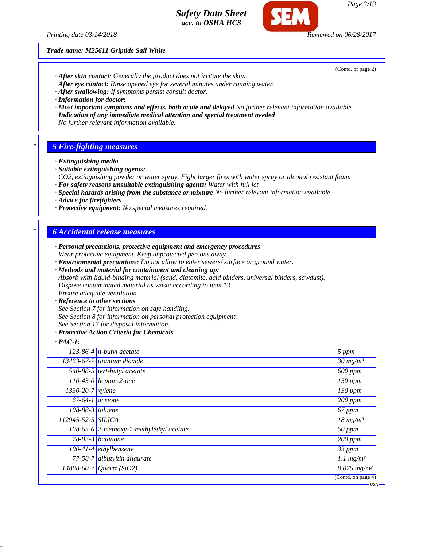

*Trade name: M25611 Griptide Sail White*

(Contd. of page 2)

- *· After skin contact: Generally the product does not irritate the skin.*
- *· After eye contact: Rinse opened eye for several minutes under running water.*
- *· After swallowing: If symptoms persist consult doctor.*
- *· Information for doctor:*
- *· Most important symptoms and effects, both acute and delayed No further relevant information available.*
- *· Indication of any immediate medical attention and special treatment needed*
- *No further relevant information available.*

#### *\* 5 Fire-fighting measures*

- *· Extinguishing media*
- *· Suitable extinguishing agents:*
- *CO2, extinguishing powder or water spray. Fight larger fires with water spray or alcohol resistant foam.*
- *· For safety reasons unsuitable extinguishing agents: Water with full jet*
- *· Special hazards arising from the substance or mixture No further relevant information available.*
- *· Advice for firefighters*
- *· Protective equipment: No special measures required.*

### *\* 6 Accidental release measures*

- *· Personal precautions, protective equipment and emergency procedures Wear protective equipment. Keep unprotected persons away.*
- *· Environmental precautions: Do not allow to enter sewers/ surface or ground water.*
- *· Methods and material for containment and cleaning up:*
- *Absorb with liquid-binding material (sand, diatomite, acid binders, universal binders, sawdust). Dispose contaminated material as waste according to item 13. Ensure adequate ventilation.*
- *· Reference to other sections*
- *See Section 7 for information on safe handling.*
- *See Section 8 for information on personal protection equipment.*
- *See Section 13 for disposal information.*

#### *· Protective Action Criteria for Chemicals*

| $\cdot$ PAC-1:     |                                              |                                        |
|--------------------|----------------------------------------------|----------------------------------------|
|                    | $\overline{123-86-4}$ n-butyl acetate        | $5$ ppm                                |
|                    | 13463-67-7 titanium dioxide                  | $30 \frac{mg}{m^3}$                    |
|                    | 540-88-5 tert-butyl acetate                  | $\sqrt{600}$ ppm                       |
|                    | $\overline{110-43}$ -0   heptan-2-one        | 150 ppm                                |
| 1330-20-7 xylene   |                                              | 130 ppm                                |
| $67-64-1$ acetone  |                                              | $\sqrt{200}$ ppm                       |
| $108-88-3$ toluene |                                              | $67$ ppm                               |
| 112945-52-5 SILICA |                                              | $18 \ mg/m^3$                          |
|                    | 108-65-6 $ 2$ -methoxy-1-methylethyl acetate | 50 ppm                                 |
| $78-93-3$ butanone |                                              | $\sqrt{200}$ ppm                       |
|                    | $100-41-4$ ethylbenzene                      | 33 ppm                                 |
|                    | 77-58-7 dibutyltin dilaurate                 | $1.1$ mg/m <sup>3</sup>                |
|                    | 14808-60-7 Quartz (SiO2)                     | $\sqrt{0.075 \text{ mg}}/m^3$          |
|                    |                                              | $\overline{(\text{Contd. on page 4})}$ |
|                    |                                              | <del>– USA</del>                       |

*Page 3/13*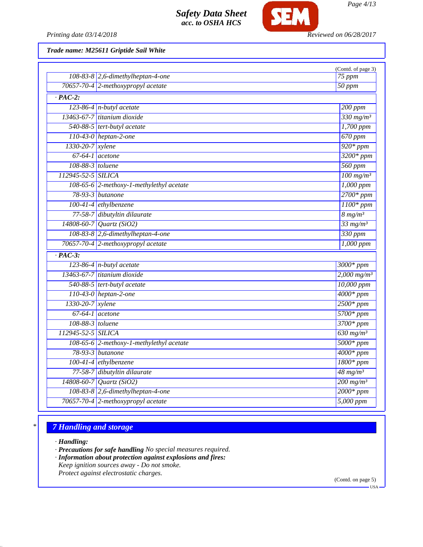

*Printing date 03/14/2018 Reviewed on 06/28/2017*

*Trade name: M25611 Griptide Sail White*

|                      | $108-83-8$ 2,6-dimethylheptan-4-one      | (Contd. of page 3)<br>75 ppm |
|----------------------|------------------------------------------|------------------------------|
|                      | 70657-70-4 2-methoxypropyl acetate       | 50 ppm                       |
| $\overline{PAC-2}$ : |                                          |                              |
|                      | $123-86-4$ n-butyl acetate               | 200 ppm                      |
|                      | 13463-67-7 titanium dioxide              | $330$ mg/m <sup>3</sup>      |
|                      | 540-88-5 tert-butyl acetate              | $1,700$ ppm                  |
|                      | $110-43-0$ heptan-2-one                  | $670$ ppm                    |
| 1330-20-7 xylene     |                                          | $920*ppm$                    |
|                      | $67-64-1$ acetone                        | $3200*ppm$                   |
| 108-88-3 toluene     |                                          | $560$ ppm                    |
| 112945-52-5 SILICA   |                                          | $100$ mg/m <sup>3</sup>      |
|                      | 108-65-6 2-methoxy-1-methylethyl acetate | $1,000$ ppm                  |
|                      | 78-93-3 <i>butanone</i>                  | $2700*ppm$                   |
|                      | $100-41-4$ ethylbenzene                  | $1100*$ ppm                  |
|                      | 77-58-7 dibutyltin dilaurate             | $8 \frac{mg}{m^3}$           |
|                      | $\sqrt{14808 - 60 - 7}$ Quartz (SiO2)    | $33$ mg/m <sup>3</sup>       |
|                      | 108-83-8 2,6-dimethylheptan-4-one        | 330 ppm                      |
|                      | 70657-70-4 2-methoxypropyl acetate       | $1,000$ ppm                  |
| $\overline{PAC-3}$ : |                                          |                              |
|                      | $123-86-4$ n-butyl acetate               | $3000*$ ppm                  |
|                      | 13463-67-7 titanium dioxide              | $2,000$ mg/m <sup>3</sup>    |
|                      | 540-88-5 tert-butyl acetate              | 10,000 ppm                   |
|                      | $110-43-0$ heptan-2-one                  | $4000*$ ppm                  |
| 1330-20-7 xylene     |                                          | $2500*ppm$                   |
|                      | $67-64-1$ acetone                        | 5700* ppm                    |
| 108-88-3 toluene     |                                          | $3700*ppm$                   |
| 112945-52-5 SILICA   |                                          | $630$ mg/m <sup>3</sup>      |
|                      | 108-65-6 2-methoxy-1-methylethyl acetate | $5000*ppm$                   |
|                      | 78-93-3 <i>butanone</i>                  | $4000*$ ppm                  |
|                      | $100-41-4$ ethylbenzene                  | $1800*ppm$                   |
|                      | 77-58-7 dibutyltin dilaurate             | $\frac{48 \text{ mg}}{m^3}$  |
|                      | $14808 - 60 - 7$ <i>Quartz</i> (SiO2)    | $200$ mg/m <sup>3</sup>      |
|                      | 108-83-8 2,6-dimethylheptan-4-one        | $2000*$ ppm                  |
|                      | 70657-70-4 2-methoxypropyl acetate       | 5,000 ppm                    |

## *\* 7 Handling and storage*

*· Handling:*

*· Precautions for safe handling No special measures required.*

- *· Information about protection against explosions and fires:*
- *Keep ignition sources away Do not smoke. Protect against electrostatic charges.*

(Contd. on page 5)

USA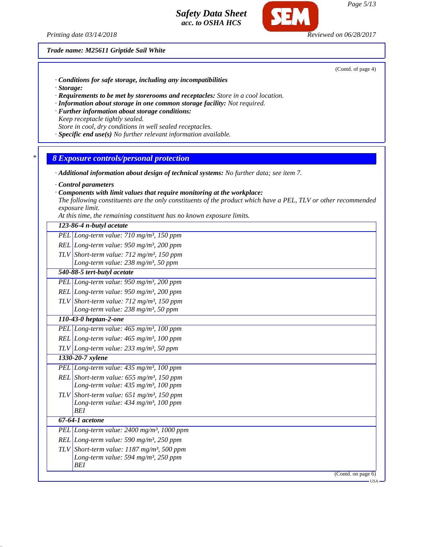*Printing date 03/14/2018 Reviewed on 06/28/2017*

*Trade name: M25611 Griptide Sail White*

(Contd. of page 4)

- *· Conditions for safe storage, including any incompatibilities*
- *· Storage:*
- *· Requirements to be met by storerooms and receptacles: Store in a cool location.*
- *· Information about storage in one common storage facility: Not required.*
- *· Further information about storage conditions:*
- *Keep receptacle tightly sealed. Store in cool, dry conditions in well sealed receptacles.*
- *· Specific end use(s) No further relevant information available.*

### *\* 8 Exposure controls/personal protection*

- *· Additional information about design of technical systems: No further data; see item 7.*
- *· Control parameters*
- *· Components with limit values that require monitoring at the workplace:*
- *The following constituents are the only constituents of the product which have a PEL, TLV or other recommended exposure limit.*
- *At this time, the remaining constituent has no known exposure limits.*

#### *123-86-4 n-butyl acetate*

- *PEL Long-term value: 710 mg/m³, 150 ppm*
- *REL Long-term value: 950 mg/m³, 200 ppm*
- *TLV Short-term value: 712 mg/m³, 150 ppm Long-term value: 238 mg/m³, 50 ppm*
- *540-88-5 tert-butyl acetate*
- *PEL Long-term value: 950 mg/m³, 200 ppm*
- *REL Long-term value: 950 mg/m³, 200 ppm TLV Short-term value: 712 mg/m³, 150 ppm*
	- *Long-term value: 238 mg/m³, 50 ppm*

# *110-43-0 heptan-2-one*

- *PEL Long-term value: 465 mg/m³, 100 ppm*
- *REL Long-term value: 465 mg/m³, 100 ppm*
- *TLV Long-term value: 233 mg/m³, 50 ppm*
- *1330-20-7 xylene PEL Long-term value: 435 mg/m³, 100 ppm*
- *REL Short-term value: 655 mg/m³, 150 ppm Long-term value: 435 mg/m³, 100 ppm*
- *TLV Short-term value: 651 mg/m³, 150 ppm Long-term value: 434 mg/m³, 100 ppm*
- *BEI 67-64-1 acetone*
- *PEL Long-term value: 2400 mg/m³, 1000 ppm REL Long-term value: 590 mg/m³, 250 ppm TLV Short-term value: 1187 mg/m³, 500 ppm*
	- *Long-term value: 594 mg/m³, 250 ppm BEI*
- -

(Contd. on page 6)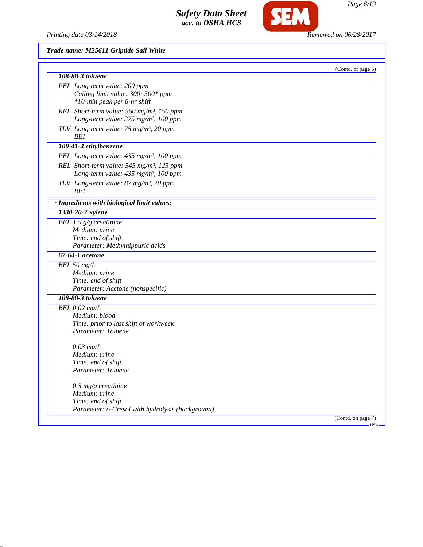Printing date 03/14/2018 **Reviewed on 06/28/2017** 

SEM

*Trade name: M25611 Griptide Sail White*

| 108-88-3 toluene                                                 | (Contd. of page 5) |
|------------------------------------------------------------------|--------------------|
| PEL Long-term value: 200 ppm                                     |                    |
| Ceiling limit value: 300; 500* ppm                               |                    |
| *10-min peak per 8-hr shift                                      |                    |
|                                                                  |                    |
| REL Short-term value: 560 mg/m <sup>3</sup> , 150 ppm            |                    |
| Long-term value: 375 mg/m <sup>3</sup> , 100 ppm                 |                    |
| TLV Long-term value: $75 \text{ mg/m}^3$ , 20 ppm                |                    |
| <b>BEI</b>                                                       |                    |
| 100-41-4 ethylbenzene                                            |                    |
| PEL Long-term value: $435$ mg/m <sup>3</sup> , 100 ppm           |                    |
| REL Short-term value: $545$ mg/m <sup>3</sup> , 125 ppm          |                    |
| Long-term value: 435 mg/m <sup>3</sup> , 100 ppm                 |                    |
|                                                                  |                    |
| TLV Long-term value: 87 mg/m <sup>3</sup> , 20 ppm<br><b>BEI</b> |                    |
|                                                                  |                    |
| · Ingredients with biological limit values:                      |                    |
| 1330-20-7 xylene                                                 |                    |
| BEI 1.5 $g/g$ creatinine                                         |                    |
| Medium: urine                                                    |                    |
| Time: end of shift                                               |                    |
| Parameter: Methylhippuric acids                                  |                    |
| $67-64-1$ acetone                                                |                    |
| BEI 50 $mg/L$                                                    |                    |
| Medium: urine                                                    |                    |
| Time: end of shift                                               |                    |
| Parameter: Acetone (nonspecific)                                 |                    |
| 108-88-3 toluene                                                 |                    |
| $BEI$ 0.02 mg/L                                                  |                    |
| Medium: blood                                                    |                    |
| Time: prior to last shift of workweek                            |                    |
| Parameter: Toluene                                               |                    |
|                                                                  |                    |
| $0.03$ mg/L                                                      |                    |
| Medium: urine                                                    |                    |
| Time: end of shift                                               |                    |
| Parameter: Toluene                                               |                    |
|                                                                  |                    |
| $0.3$ mg/g creatinine                                            |                    |
| Medium: urine                                                    |                    |
| Time: end of shift                                               |                    |
|                                                                  |                    |
| Parameter: o-Cresol with hydrolysis (background)                 |                    |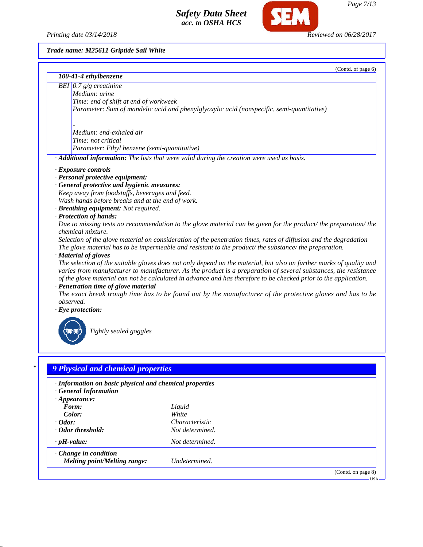*Printing date 03/14/2018 Reviewed on 06/28/2017*

**SEM** 

*Trade name: M25611 Griptide Sail White*

|           | (Contd. of page 6)<br>100-41-4 ethylbenzene                                                                                                        |
|-----------|----------------------------------------------------------------------------------------------------------------------------------------------------|
|           |                                                                                                                                                    |
|           | BEI $0.7 g/g$ creatinine<br>Medium: urine                                                                                                          |
|           | Time: end of shift at end of workweek                                                                                                              |
|           | Parameter: Sum of mandelic acid and phenylglyoxylic acid (nonspecific, semi-quantitative)                                                          |
|           |                                                                                                                                                    |
|           | Medium: end-exhaled air                                                                                                                            |
|           | Time: not critical                                                                                                                                 |
|           | Parameter: Ethyl benzene (semi-quantitative)                                                                                                       |
|           | · Additional information: The lists that were valid during the creation were used as basis.                                                        |
|           | · Exposure controls                                                                                                                                |
|           | · Personal protective equipment:                                                                                                                   |
|           | · General protective and hygienic measures:                                                                                                        |
|           | Keep away from foodstuffs, beverages and feed.                                                                                                     |
|           | Wash hands before breaks and at the end of work.                                                                                                   |
|           | · Breathing equipment: Not required.                                                                                                               |
|           | · Protection of hands:                                                                                                                             |
|           | Due to missing tests no recommendation to the glove material can be given for the product/ the preparation/ the                                    |
|           | chemical mixture.                                                                                                                                  |
|           | Selection of the glove material on consideration of the penetration times, rates of diffusion and the degradation                                  |
|           | The glove material has to be impermeable and resistant to the product/the substance/the preparation.                                               |
|           | · Material of gloves                                                                                                                               |
|           | The selection of the suitable gloves does not only depend on the material, but also on further marks of quality and                                |
|           | varies from manufacturer to manufacturer. As the product is a preparation of several substances, the resistance                                    |
|           | of the glove material can not be calculated in advance and has therefore to be checked prior to the application.                                   |
|           | · Penetration time of glove material<br>The exact break trough time has to be found out by the manufacturer of the protective gloves and has to be |
| observed. |                                                                                                                                                    |
|           | $\cdot$ Eye protection:                                                                                                                            |
|           |                                                                                                                                                    |
|           |                                                                                                                                                    |
|           | Tightly sealed goggles                                                                                                                             |
|           |                                                                                                                                                    |
|           |                                                                                                                                                    |
|           |                                                                                                                                                    |
|           |                                                                                                                                                    |
|           | 9 Physical and chemical properties                                                                                                                 |

*· General Information · Appearance:*<br>*Form: Form: Liquid Color: White · Odor: Characteristic Characteristic · Odor threshold: Not determined. · Odor threshold: Not determined. · pH-value: Not determined. · Change in condition Melting point/Melting range: Undetermined.*

(Contd. on page 8)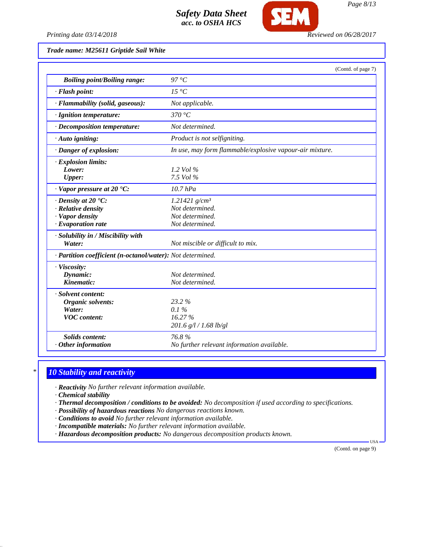

*Printing date 03/14/2018 Reviewed on 06/28/2017*

*Trade name: M25611 Griptide Sail White*

|                                                            | (Contd. of page 7)                                       |
|------------------------------------------------------------|----------------------------------------------------------|
| <b>Boiling point/Boiling range:</b>                        | $97^{\circ}C$                                            |
| · Flash point:                                             | 15 °C                                                    |
| · Flammability (solid, gaseous):                           | Not applicable.                                          |
| · Ignition temperature:                                    | 370 °C                                                   |
| · Decomposition temperature:                               | Not determined.                                          |
| $\cdot$ Auto igniting:                                     | Product is not selfigniting.                             |
| · Danger of explosion:                                     | In use, may form flammable/explosive vapour-air mixture. |
| · Explosion limits:                                        |                                                          |
| Lower:                                                     | 1.2 Vol $\%$                                             |
| <b>Upper:</b>                                              | 7.5 Vol %                                                |
| $\cdot$ Vapor pressure at 20 $\cdot$ C:                    | $10.7$ hPa                                               |
| $\cdot$ Density at 20 $\cdot$ C:                           | 1.21421 $g/cm^3$                                         |
| · Relative density                                         | Not determined.                                          |
| · Vapor density                                            | Not determined.                                          |
| $\cdot$ Evaporation rate                                   | Not determined.                                          |
| · Solubility in / Miscibility with                         |                                                          |
| Water:                                                     | Not miscible or difficult to mix.                        |
| · Partition coefficient (n-octanol/water): Not determined. |                                                          |
| · Viscosity:                                               |                                                          |
| Dynamic:                                                   | Not determined.                                          |
| Kinematic:                                                 | Not determined.                                          |
| · Solvent content:                                         |                                                          |
| Organic solvents:                                          | 23.2%                                                    |
| Water:                                                     | 0.1%                                                     |
| <b>VOC</b> content:                                        | 16.27%                                                   |
|                                                            | 201.6 g/l / 1.68 lb/gl                                   |
| <b>Solids content:</b>                                     | 76.8%                                                    |
| $·$ Other information                                      | No further relevant information available.               |

## *\* 10 Stability and reactivity*

*· Reactivity No further relevant information available.*

*· Chemical stability*

- *· Thermal decomposition / conditions to be avoided: No decomposition if used according to specifications.*
- *· Possibility of hazardous reactions No dangerous reactions known.*
- *· Conditions to avoid No further relevant information available.*
- *· Incompatible materials: No further relevant information available.*
- *· Hazardous decomposition products: No dangerous decomposition products known.*

(Contd. on page 9)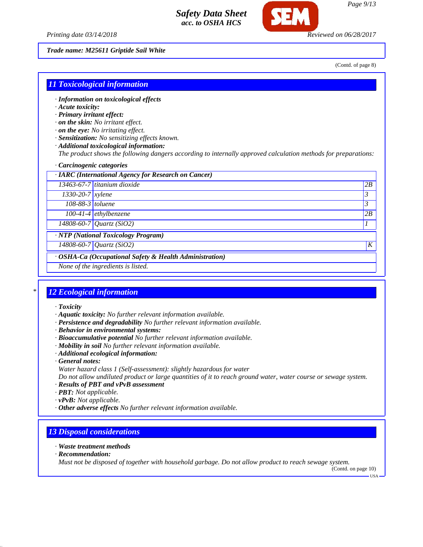*Printing date 03/14/2018 Reviewed on 06/28/2017*

*Trade name: M25611 Griptide Sail White*

(Contd. of page 8)

## *11 Toxicological information*

- *· Information on toxicological effects*
- *· Acute toxicity:*
- *· Primary irritant effect:*
- *· on the skin: No irritant effect.*
- *· on the eye: No irritating effect.*
- *· Sensitization: No sensitizing effects known.*
- *· Additional toxicological information:*

*The product shows the following dangers according to internally approved calculation methods for preparations:*

### *· Carcinogenic categories*

| · IARC (International Agency for Research on Cancer)    |                                       |                  |
|---------------------------------------------------------|---------------------------------------|------------------|
|                                                         | 13463-67-7 titanium dioxide           | 2B               |
| 1330-20-7 xylene                                        |                                       | 3                |
| 108-88-3 toluene                                        |                                       | 3                |
|                                                         | $100-41-4$ ethylbenzene               | 2B               |
|                                                         | $14808 - 60 - 7$ <i>Quartz</i> (SiO2) |                  |
| · NTP (National Toxicology Program)                     |                                       |                  |
|                                                         | 14808-60-7 Quartz (SiO2)              | $\boldsymbol{K}$ |
| · OSHA-Ca (Occupational Safety & Health Administration) |                                       |                  |
| None of the ingredients is listed.                      |                                       |                  |

## *\* 12 Ecological information*

- *· Toxicity*
- *· Aquatic toxicity: No further relevant information available.*
- *· Persistence and degradability No further relevant information available.*
- *· Behavior in environmental systems:*
- *· Bioaccumulative potential No further relevant information available.*
- *· Mobility in soil No further relevant information available.*
- *· Additional ecological information:*
- *· General notes:*
- *Water hazard class 1 (Self-assessment): slightly hazardous for water*

*Do not allow undiluted product or large quantities of it to reach ground water, water course or sewage system.*

- *· Results of PBT and vPvB assessment*
- *· PBT: Not applicable.*
- *· vPvB: Not applicable.*
- *· Other adverse effects No further relevant information available.*

### *13 Disposal considerations*

- *· Waste treatment methods*
- *· Recommendation:*

*Must not be disposed of together with household garbage. Do not allow product to reach sewage system.*

(Contd. on page 10) USA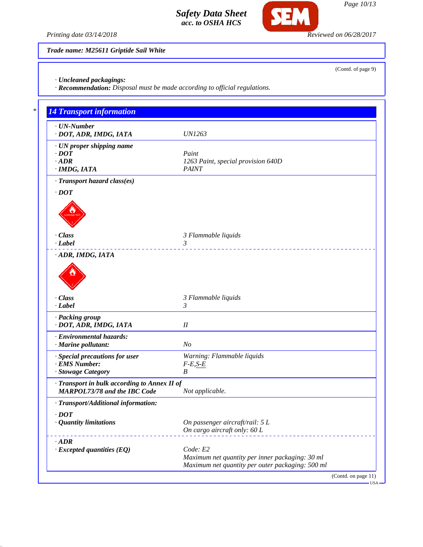

*Page 10/13*

(Contd. of page 9)

*Printing date 03/14/2018 Reviewed on 06/28/2017*

*Trade name: M25611 Griptide Sail White*

*· Uncleaned packagings:*

*· Recommendation: Disposal must be made according to official regulations.*

| $\cdot$ UN-Number                            |                                                  |
|----------------------------------------------|--------------------------------------------------|
| · DOT, ADR, IMDG, IATA                       | <b>UN1263</b>                                    |
| · UN proper shipping name                    |                                                  |
| $\cdot$ DOT                                  | Paint                                            |
| $-$ ADR                                      | 1263 Paint, special provision 640D               |
| · IMDG, IATA                                 | <b>PAINT</b>                                     |
| · Transport hazard class(es)                 |                                                  |
| $\cdot$ DOT                                  |                                                  |
|                                              |                                                  |
|                                              |                                                  |
|                                              |                                                  |
|                                              |                                                  |
| · Class                                      | 3 Flammable liquids                              |
| · Label                                      | 3                                                |
| · ADR, IMDG, IATA                            |                                                  |
|                                              |                                                  |
|                                              |                                                  |
|                                              |                                                  |
|                                              |                                                  |
| · Class                                      | 3 Flammable liquids                              |
| · Label                                      | 3                                                |
| · Packing group                              |                                                  |
| · DOT, ADR, IMDG, IATA                       | I                                                |
|                                              |                                                  |
| · Environmental hazards:                     |                                                  |
| · Marine pollutant:                          | N <sub>o</sub>                                   |
| · Special precautions for user               | Warning: Flammable liquids                       |
| · EMS Number:                                | $F-E, S-E$                                       |
| · Stowage Category                           | B                                                |
| · Transport in bulk according to Annex II of |                                                  |
| <b>MARPOL73/78 and the IBC Code</b>          | Not applicable.                                  |
| · Transport/Additional information:          |                                                  |
|                                              |                                                  |
| $\cdot$ DOT                                  |                                                  |
| · Quantity limitations                       | On passenger aircraft/rail: 5 L                  |
|                                              | On cargo aircraft only: 60 L                     |
| $\cdot$ ADR                                  |                                                  |
| $\cdot$ Excepted quantities (EQ)             | Code: E2                                         |
|                                              | Maximum net quantity per inner packaging: 30 ml  |
|                                              | Maximum net quantity per outer packaging: 500 ml |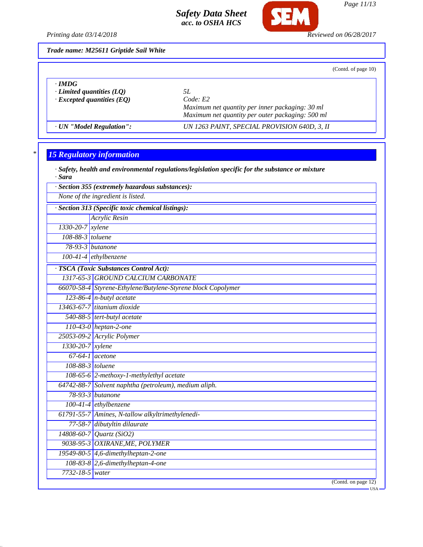

*Page 11/13*

*Printing date 03/14/2018 Reviewed on 06/28/2017*

*Trade name: M25611 Griptide Sail White*

(Contd. of page 10)

| $\cdot$ IMDG<br>$\cdot$ Limited quantities (LO)<br>$\cdot$ Excepted quantities (EQ) | 51.<br>Code: E2<br>Maximum net quantity per inner packaging: 30 ml<br>Maximum net quantity per outer packaging: 500 ml |  |
|-------------------------------------------------------------------------------------|------------------------------------------------------------------------------------------------------------------------|--|
| · UN "Model Regulation":                                                            | UN 1263 PAINT, SPECIAL PROVISION 640D, 3, II                                                                           |  |

# *\* 15 Regulatory information*

| · Safety, health and environmental regulations/legislation specific for the substance or mixture<br>· Sara |                                                              |  |  |  |
|------------------------------------------------------------------------------------------------------------|--------------------------------------------------------------|--|--|--|
| · Section 355 (extremely hazardous substances):                                                            |                                                              |  |  |  |
| None of the ingredient is listed.                                                                          |                                                              |  |  |  |
|                                                                                                            | · Section 313 (Specific toxic chemical listings):            |  |  |  |
|                                                                                                            | <b>Acrylic Resin</b>                                         |  |  |  |
| 1330-20-7 xylene                                                                                           |                                                              |  |  |  |
| 108-88-3 toluene                                                                                           |                                                              |  |  |  |
|                                                                                                            | $78-93-3$ butanone                                           |  |  |  |
|                                                                                                            | $100-41-4$ ethylbenzene                                      |  |  |  |
|                                                                                                            | · TSCA (Toxic Substances Control Act):                       |  |  |  |
|                                                                                                            | 1317-65-3 GROUND CALCIUM CARBONATE                           |  |  |  |
|                                                                                                            | 66070-58-4 Styrene-Ethylene/Butylene-Styrene block Copolymer |  |  |  |
|                                                                                                            | $123-86-4$ n-butyl acetate                                   |  |  |  |
|                                                                                                            | 13463-67-7 titanium dioxide                                  |  |  |  |
|                                                                                                            | 540-88-5 tert-butyl acetate                                  |  |  |  |
|                                                                                                            | 110-43-0 heptan-2-one                                        |  |  |  |
|                                                                                                            | 25053-09-2 Acrylic Polymer                                   |  |  |  |
| $1330-20-7$ xylene                                                                                         |                                                              |  |  |  |
|                                                                                                            | $67-64-1$ acetone                                            |  |  |  |
| 108-88-3 toluene                                                                                           |                                                              |  |  |  |
|                                                                                                            | 108-65-6 2-methoxy-1-methylethyl acetate                     |  |  |  |
|                                                                                                            | 64742-88-7 Solvent naphtha (petroleum), medium aliph.        |  |  |  |
|                                                                                                            | 78-93-3 <i>butanone</i>                                      |  |  |  |
|                                                                                                            | 100-41-4 ethylbenzene                                        |  |  |  |
|                                                                                                            | 61791-55-7 Amines, N-tallow alkyltrimethylenedi-             |  |  |  |
|                                                                                                            | 77-58-7 dibutyltin dilaurate                                 |  |  |  |
|                                                                                                            | $14808 - 60 - 7$ <i>Quartz</i> (SiO2)                        |  |  |  |
|                                                                                                            | 9038-95-3 OXIRANE, ME, POLYMER                               |  |  |  |
|                                                                                                            | 19549-80-5 4,6-dimethylheptan-2-one                          |  |  |  |
|                                                                                                            | 108-83-8 2,6-dimethylheptan-4-one                            |  |  |  |
| 7732-18-5 water                                                                                            |                                                              |  |  |  |
|                                                                                                            | (Cond. on page 12)                                           |  |  |  |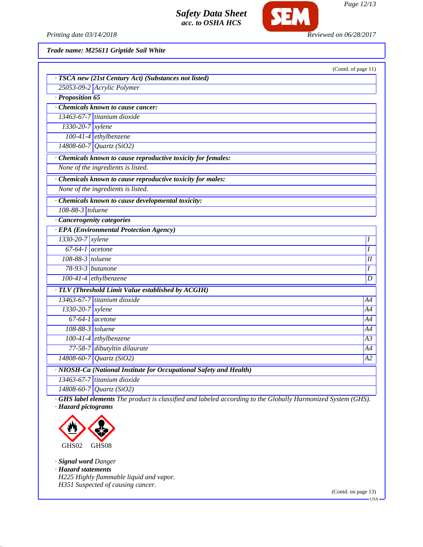

*Page 12/13*

*Printing date 03/14/2018 Reviewed on 06/28/2017*

*Trade name: M25611 Griptide Sail White*

|                                                                    | (Contd. of page 11) |
|--------------------------------------------------------------------|---------------------|
| · TSCA new (21st Century Act) (Substances not listed)              |                     |
| 25053-09-2 Acrylic Polymer                                         |                     |
| · Proposition 65                                                   |                     |
| Chemicals known to cause cancer:                                   |                     |
| 13463-67-7 titanium dioxide                                        |                     |
| $1330-20-7$ xylene                                                 |                     |
| 100-41-4 ethylbenzene                                              |                     |
| 14808-60-7 Quartz (SiO2)                                           |                     |
| · Chemicals known to cause reproductive toxicity for females:      |                     |
| None of the ingredients is listed.                                 |                     |
| · Chemicals known to cause reproductive toxicity for males:        |                     |
| None of the ingredients is listed.                                 |                     |
| · Chemicals known to cause developmental toxicity:                 |                     |
| 108-88-3 toluene                                                   |                     |
| · Cancerogenity categories                                         |                     |
| · EPA (Environmental Protection Agency)                            |                     |
| 1330-20-7 xylene                                                   | I                   |
| $67-64-1$ acetone                                                  | I                   |
| 108-88-3 toluene                                                   | I                   |
| $78-93-3$ butanone                                                 | I                   |
| $100-41-4$ ethylbenzene                                            | $\overline{D}$      |
| · TLV (Threshold Limit Value established by ACGIH)                 |                     |
| 13463-67-7 titanium dioxide                                        | A4                  |
| $1330-20-7$ xylene                                                 | A4                  |
| $67-64-1$ acetone                                                  | A4                  |
| 108-88-3 toluene                                                   | A4                  |
| 100-41-4 ethylbenzene                                              | A3                  |
| 77-58-7 dibutyltin dilaurate                                       | A4                  |
| 14808-60-7 Quartz (SiO2)                                           | A2                  |
| · NIOSH-Ca (National Institute for Occupational Safety and Health) |                     |
| 13463-67-7 titanium dioxide                                        |                     |
| 14808-60-7 Quartz (SiO2)                                           |                     |
|                                                                    |                     |

*· GHS label elements The product is classified and labeled according to the Globally Harmonized System (GHS). · Hazard pictograms*



*· Signal word Danger · Hazard statements H225 Highly flammable liquid and vapor. H351 Suspected of causing cancer.*

(Contd. on page 13)

USA